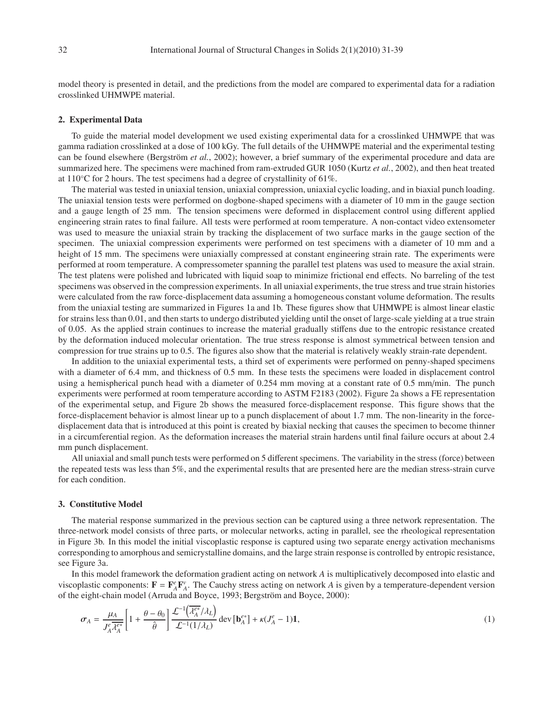model theory is presented in detail, and the predictions from the model are compared to experimental data for a radiation crosslinked UHMWPE material.

## **2. Experimental Data**

To guide the material model development we used existing experimental data for a crosslinked UHMWPE that was gamma radiation crosslinked at a dose of 100 kGy. The full details of the UHMWPE material and the experimental testing can be found elsewhere (Bergström et al., 2002); however, a brief summary of the experimental procedure and data are summarized here. The specimens were machined from ram-extruded GUR 1050 (Kurtz *et al.*, 2002), and then heat treated at  $110^{\circ}$ C for 2 hours. The test specimens had a degree of crystallinity of 61%.

The material was tested in uniaxial tension, uniaxial compression, uniaxial cyclic loading, and in biaxial punch loading. The uniaxial tension tests were performed on dogbone-shaped specimens with a diameter of 10 mm in the gauge section and a gauge length of 25 mm. The tension specimens were deformed in displacement control using different applied engineering strain rates to final failure. All tests were performed at room temperature. A non-contact video extensometer was used to measure the uniaxial strain by tracking the displacement of two surface marks in the gauge section of the specimen. The uniaxial compression experiments were performed on test specimens with a diameter of 10 mm and a height of 15 mm. The specimens were uniaxially compressed at constant engineering strain rate. The experiments were performed at room temperature. A compressometer spanning the parallel test platens was used to measure the axial strain. The test platens were polished and lubricated with liquid soap to minimize frictional end effects. No barreling of the test specimens was observed in the compression experiments. In all uniaxial experiments, the true stress and true strain histories were calculated from the raw force-displacement data assuming a homogeneous constant volume deformation. The results from the uniaxial testing are summarized in Figures 1a and 1b. These figures show that UHMWPE is almost linear elastic for strains less than 0.01, and then starts to undergo distributed yielding until the onset of large-scale yielding at a true strain of 0.05. As the applied strain continues to increase the material gradually stiffens due to the entropic resistance created by the deformation induced molecular orientation. The true stress response is almost symmetrical between tension and compression for true strains up to 0.5. The figures also show that the material is relatively weakly strain-rate dependent.

In addition to the uniaxial experimental tests, a third set of experiments were performed on penny-shaped specimens with a diameter of 6.4 mm, and thickness of 0.5 mm. In these tests the specimens were loaded in displacement control using a hemispherical punch head with a diameter of 0.254 mm moving at a constant rate of 0.5 mm/min. The punch experiments were performed at room temperature according to ASTM F2183 (2002). Figure 2a shows a FE representation of the experimental setup, and Figure 2b shows the measured force-displacement response. This figure shows that the force-displacement behavior is almost linear up to a punch displacement of about 1.7 mm. The non-linearity in the forcedisplacement data that is introduced at this point is created by biaxial necking that causes the specimen to become thinner in a circumferential region. As the deformation increases the material strain hardens until final failure occurs at about 2.4 mm punch displacement.

All uniaxial and small punch tests were performed on 5 different specimens. The variability in the stress (force) between the repeated tests was less than 5%, and the experimental results that are presented here are the median stress-strain curve for each condition.

## **3. Constitutive Model**

The material response summarized in the previous section can be captured using a three network representation. The three-network model consists of three parts, or molecular networks, acting in parallel, see the rheological representation in Figure 3b. In this model the initial viscoplastic response is captured using two separate energy activation mechanisms corresponding to amorphous and semicrystalline domains, and the large strain response is controlled by entropic resistance, see Figure 3a.

In this model framework the deformation gradient acting on network *A* is multiplicatively decomposed into elastic and viscoplastic components:  $\mathbf{F} = \mathbf{F}_A^e \mathbf{F}_A^v$ . The Cauchy stress acting on network *A* is given by a temperature-dependent version of the eight-chain model (Arruda and Boyce, 1993; Bergström and Boyce, 2000):

$$
\sigma_A = \frac{\mu_A}{J_A^e \overline{\lambda_A^{e*}}} \left[ 1 + \frac{\theta - \theta_0}{\hat{\theta}} \right] \frac{\mathcal{L}^{-1} \left( \overline{\lambda_A^{e*}} / \lambda_L \right)}{\mathcal{L}^{-1} (1/\lambda_L)} \operatorname{dev} \left[ \mathbf{b}_A^{e*} \right] + \kappa (J_A^e - 1) \mathbf{1},\tag{1}
$$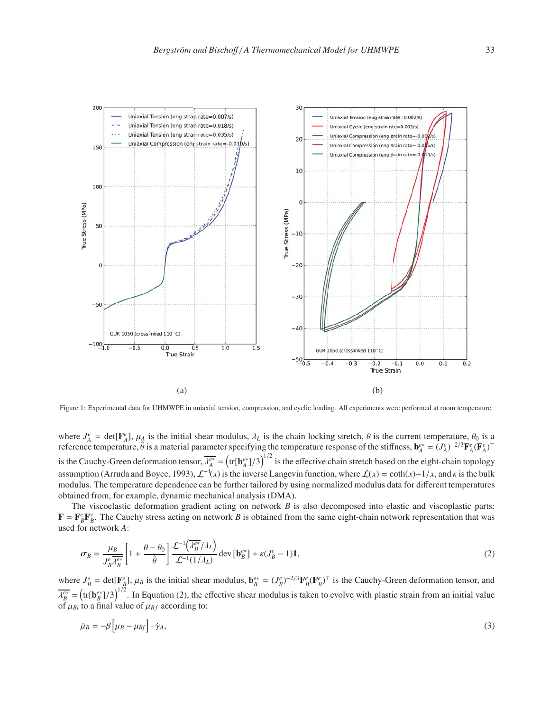

Figure 1: Experimental data for UHMWPE in uniaxial tension, compression, and cyclic loading. All experiments were performed at room temperature.

where  $J_A^e = \det[\mathbf{F}_A^e]$ ,  $\mu_A$  is the initial shear modulus,  $\lambda_L$  is the chain locking stretch,  $\theta$  is the current temperature,  $\theta_0$  is a reference temperature,  $\hat{\theta}$  is a material parameter specifying the temperature response of the stiffness,  $\mathbf{b}_{A}^{e*} = (J_{A}^{e})^{-2/3} \mathbf{F}_{A}^{e} (\mathbf{F}_{A}^{e})^{\top}$ is the Cauchy-Green deformation tensor,  $\overline{\lambda_A^{e*}} = (\text{tr}[\mathbf{b}_A^{e*}]/3)^{1/2}$  is the effective chain stretch based on the eight-chain topology assumption (Arruda and Boyce, 1993),  $\mathcal{L}^{-1}(x)$  is the inverse Langevin function, where  $\mathcal{L}(x) = \coth(x) - 1/x$ , and  $\kappa$  is the bulk modulus. The temperature dependence can be further tailored by using normalized modulus data for different temperatures obtained from, for example, dynamic mechanical analysis (DMA).

The viscoelastic deformation gradient acting on network *B* is also decomposed into elastic and viscoplastic parts:  $\mathbf{F} = \mathbf{F}_B^e \mathbf{F}_B^v$ . The Cauchy stress acting on network *B* is obtained from the same eight-chain network representation that was used for network *A*:

$$
\sigma_B = \frac{\mu_B}{J_B^e \overline{\lambda_B^{es}}} \left[ 1 + \frac{\theta - \theta_0}{\hat{\theta}} \right] \frac{\mathcal{L}^{-1}(\overline{\lambda_B^{es}}/\lambda_L)}{\mathcal{L}^{-1}(1/\lambda_L)} \text{ dev } [\mathbf{b}_B^{es}] + \kappa (J_B^e - 1) \mathbf{1},\tag{2}
$$

where  $J_B^e = \det[\mathbf{F}_B^e]$ ,  $\mu_B$  is the initial shear modulus,  $\mathbf{b}_B^{e*} = (J_B^e)^{-2/3} \mathbf{F}_B^e(\mathbf{F}_B^e)^\top$  is the Cauchy-Green deformation tensor, and  $\overline{\lambda_B^{e*}}$  =  $(\text{tr}[\mathbf{b}_B^{e*}]/3)^{1/2}$ . In Equation (2), the effective shear modulus is taken to evolve with plastic strain from an initial value of  $\mu_{Bi}$  to a final value of  $\mu_{Bf}$  according to:

$$
\dot{\mu}_B = -\beta \left[ \mu_B - \mu_{Bf} \right] \cdot \dot{\gamma}_A,\tag{3}
$$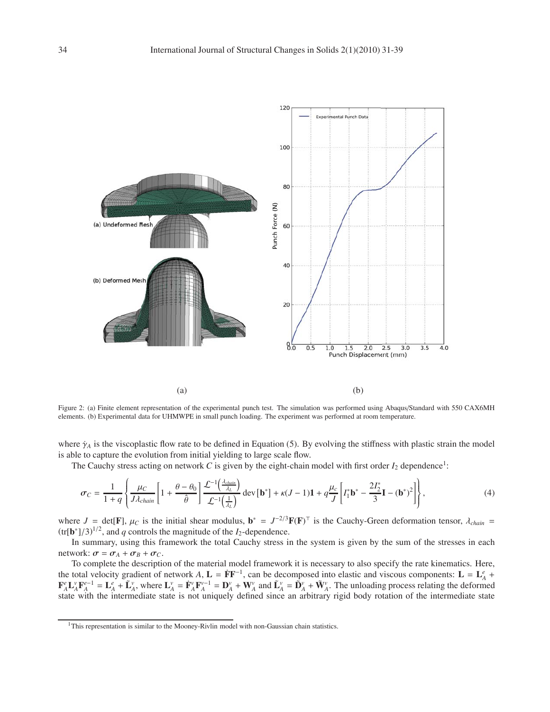

Figure 2: (a) Finite element representation of the experimental punch test. The simulation was performed using Abaqus/Standard with 550 CAX6MH elements. (b) Experimental data for UHMWPE in small punch loading. The experiment was performed at room temperature.

where  $\dot{\gamma}_A$  is the viscoplastic flow rate to be defined in Equation (5). By evolving the stiffness with plastic strain the model is able to capture the evolution from initial yielding to large scale flow.

The Cauchy stress acting on network  $C$  is given by the eight-chain model with first order  $I_2$  dependence<sup>1</sup>:

$$
\sigma_C = \frac{1}{1+q} \left\{ \frac{\mu_C}{J\lambda_{chain}} \left[ 1 + \frac{\theta - \theta_0}{\hat{\theta}} \right] \frac{\mathcal{L}^{-1}\left( \frac{\lambda_{chain}}{\lambda_L} \right)}{\mathcal{L}^{-1}\left( \frac{1}{\lambda_L} \right)} \operatorname{dev} \left[ \mathbf{b}^* \right] + \kappa (J-1) \mathbf{1} + q \frac{\mu_c}{J} \left[ I_1^* \mathbf{b}^* - \frac{2I_2^*}{3} \mathbf{I} - (\mathbf{b}^*)^2 \right] \right\},\tag{4}
$$

where  $J = \text{det}[\mathbf{F}]$ ,  $\mu_C$  is the initial shear modulus,  $\mathbf{b}^* = J^{-2/3}\mathbf{F}(\mathbf{F})^\top$  is the Cauchy-Green deformation tensor,  $\lambda_{chain}$  $(tr[\mathbf{b}^*]/3]^{1/2}$ , and *q* controls the magnitude of the *I*<sub>2</sub>-dependence.

In summary, using this framework the total Cauchy stress in the system is given by the sum of the stresses in each network:  $\sigma = \sigma_A + \sigma_B + \sigma_C$ .

To complete the description of the material model framework it is necessary to also specify the rate kinematics. Here, the total velocity gradient of network *A*,  $L = \dot{F}F^{-1}$ , can be decomposed into elastic and viscous components:  $L = L_A^e$  +  $\mathbf{F}_A^e \mathbf{L}_A^v \mathbf{F}_A^{e-1} = \mathbf{L}_A^e + \tilde{\mathbf{L}}_A^v$ , where  $\mathbf{L}_A^v = \dot{\mathbf{F}}_A^v \mathbf{F}_A^{v-1} = \mathbf{D}_A^v + \mathbf{W}_A^v$  and  $\tilde{\mathbf{L}}_A^v = \dot{\mathbf{D}}_A^v + \tilde{\mathbf{W}}_A^v$ . The unloading process relating the deformed state with the intermediate state is not uniquely defined since an arbitrary rigid body rotation of the intermediate state

<sup>&</sup>lt;sup>1</sup>This representation is similar to the Mooney-Rivlin model with non-Gaussian chain statistics.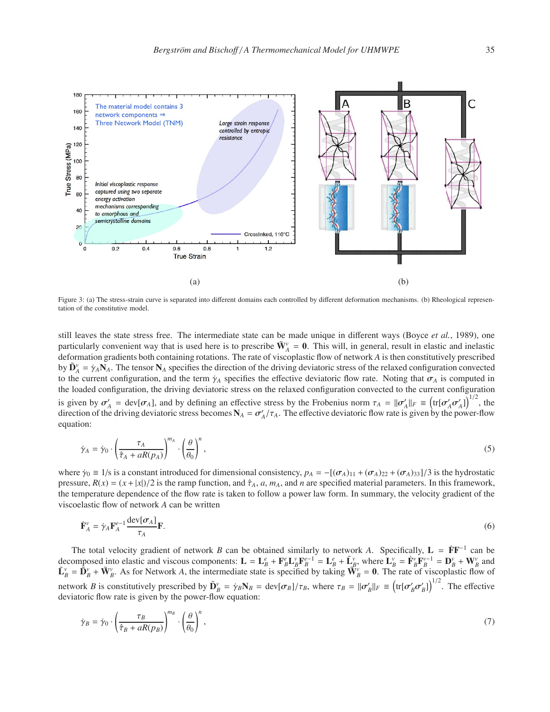

Figure 3: (a) The stress-strain curve is separated into different domains each controlled by different deformation mechanisms. (b) Rheological representation of the constitutive model.

still leaves the state stress free. The intermediate state can be made unique in different ways (Boyce *et al.*, 1989), one particularly convenient way that is used here is to prescribe  $\tilde{W}_A^v = 0$ . This will, in general, result in elastic and inelastic deformation gradients both containing rotations. The rate of viscoplastic flow of network *A* is then constitutively prescribed by  $\tilde{\mathbf{D}}_A^{\nu} = \dot{\gamma}_A \mathbf{N}_A$ . The tensor  $\mathbf{N}_A$  specifies the direction of the driving deviatoric stress of the relaxed configuration convected to the current configuration, and the term  $\gamma_A$  specifies the effective deviatoric flow rate. Noting that  $\sigma_A$  is computed in the loaded configuration, the driving deviatoric stress on the relaxed configuration convected to the current configuration is given by  $\sigma'_{A}$  = dev[ $\sigma_{A}$ ], and by defining an effective stress by the Frobenius norm  $\tau_{A} = ||\sigma'_{A}||_{F} \equiv (\text{tr}[\sigma'_{A}\sigma'_{A}])^{1/2}$ , the direction of the driving deviatoric stress becomes  $N_A = \sigma'_A/\tau_A$ . The effective deviatoric flow rate is given by the power-flow equation:

$$
\dot{\gamma}_A = \dot{\gamma}_0 \cdot \left(\frac{\tau_A}{\hat{\tau}_A + aR(p_A)}\right)^{m_A} \cdot \left(\frac{\theta}{\theta_0}\right)^n,\tag{5}
$$

where  $\dot{\gamma}_0 \equiv 1/s$  is a constant introduced for dimensional consistency,  $p_A = -[(\sigma_A)_{11} + (\sigma_A)_{22} + (\sigma_A)_{33}] / 3$  is the hydrostatic pressure,  $R(x) = (x + |x|)/2$  is the ramp function, and  $\hat{\tau}_A$ , *a*,  $m_A$ , and *n* are specified material parameters. In this framework, the temperature dependence of the flow rate is taken to follow a power law form. In summary, the velocity gradient of the viscoelastic flow of network *A* can be written

$$
\dot{\mathbf{F}}_{A}^{\nu} = \dot{\gamma}_{A} \mathbf{F}_{A}^{e-1} \frac{\text{dev}[\sigma_{A}]}{\tau_{A}} \mathbf{F}.
$$
 (6)

The total velocity gradient of network *B* can be obtained similarly to network *A*. Specifically,  $L = \mathbf{F} \mathbf{F}^{-1}$  can be decomposed into elastic and viscous components:  $\mathbf{L} = \mathbf{L}_B^e + \mathbf{F}_B^e \mathbf{L}_B^v \mathbf{F}_B^{e-1} = \mathbf{L}_B^e + \tilde{\mathbf{L}}_B^v$ , where  $\mathbf{L}_B^v = \dot{\mathbf{F}}_B^v \mathbf{F}_B^{v-1} = \mathbf{D}_B^v + \mathbf{W}_B^v$  and  $\tilde{\mathbf{L}}_B^v = \tilde{\mathbf{D}}_B^v + \tilde{\mathbf{W}}_B^v$ . As for Network A, the intermediate state is specified by taking  $\tilde{\mathbf{W}}_B^v = \mathbf{0}$ . The rate of viscoplastic flow of network *B* is constitutively prescribed by  $\tilde{\mathbf{D}}_B^v = \dot{\gamma}_B \mathbf{N}_B = \frac{dev[\sigma_B]/\tau_B}{v_B}$ , where  $\tau_B = ||\sigma'_B||_F \equiv (\text{tr}[\sigma'_B \sigma'_B])^{1/2}$ . The effective deviatoric flow rate is given by the power-flow equation:

$$
\dot{\gamma}_B = \dot{\gamma}_0 \cdot \left(\frac{\tau_B}{\hat{\tau}_B + aR(p_B)}\right)^{m_B} \cdot \left(\frac{\theta}{\theta_0}\right)^n,\tag{7}
$$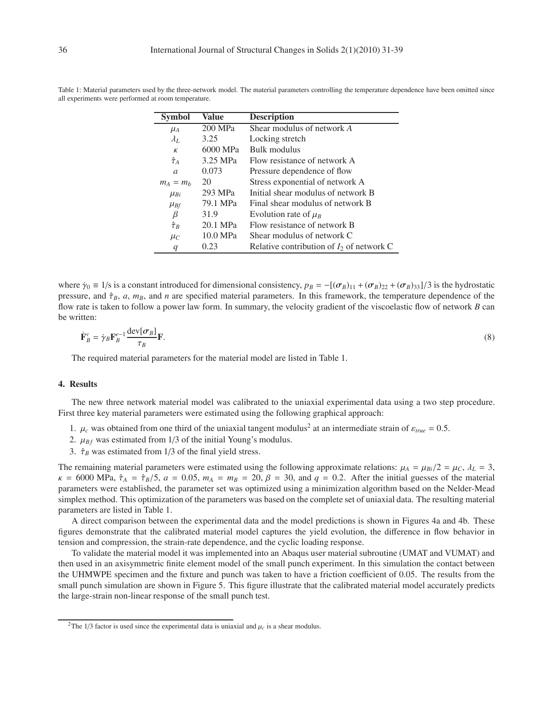| <b>Symbol</b>  | Value    | <b>Description</b>                          |
|----------------|----------|---------------------------------------------|
| $\mu_A$        | 200 MPa  | Shear modulus of network A                  |
| $\lambda_L$    | 3.25     | Locking stretch                             |
| К              | 6000 MPa | Bulk modulus                                |
| $\hat{\tau}_A$ | 3.25 MPa | Flow resistance of network A                |
| $\mathfrak{a}$ | 0.073    | Pressure dependence of flow                 |
| $m_A = m_b$    | 20       | Stress exponential of network A             |
| $\mu_{Bi}$     | 293 MPa  | Initial shear modulus of network B          |
| $\mu_{Bf}$     | 79.1 MPa | Final shear modulus of network B            |
| $\beta$        | 31.9     | Evolution rate of $\mu_B$                   |
| $\hat{\tau}_B$ | 20.1 MPa | Flow resistance of network B                |
| $\mu_C$        | 10.0 MPa | Shear modulus of network C                  |
| q              | 0.23     | Relative contribution of $I_2$ of network C |

Table 1: Material parameters used by the three-network model. The material parameters controlling the temperature dependence have been omitted since all experiments were performed at room temperature.

where  $\dot{\gamma}_0 = 1/s$  is a constant introduced for dimensional consistency,  $p_B = -[(\sigma_B)_{11} + (\sigma_B)_{22} + (\sigma_B)_{33}]/3$  is the hydrostatic pressure, and  $\hat{\tau}_B$ , *a*,  $m_B$ , and *n* are specified material parameters. In this framework, the temperature dependence of the flow rate is taken to follow a power law form. In summary, the velocity gradient of the viscoelastic flow of network *B* can be written:

$$
\dot{\mathbf{F}}_B^{\nu} = \dot{\gamma}_B \mathbf{F}_B^{e-1} \frac{\text{dev}[\sigma_B]}{\tau_B} \mathbf{F}.
$$
\n(8)

The required material parameters for the material model are listed in Table 1.

## **4. Results**

The new three network material model was calibrated to the uniaxial experimental data using a two step procedure. First three key material parameters were estimated using the following graphical approach:

- 1.  $\mu_c$  was obtained from one third of the uniaxial tangent modulus<sup>2</sup> at an intermediate strain of  $\varepsilon_{true} = 0.5$ .
- 2.  $\mu_{Bf}$  was estimated from 1/3 of the initial Young's modulus.
- 3.  $\hat{\tau}_B$  was estimated from 1/3 of the final yield stress.

The remaining material parameters were estimated using the following approximate relations:  $\mu_A = \mu_{Bi}/2 = \mu_C$ ,  $\lambda_L = 3$ ,  $\kappa = 6000 \text{ MPa}$ ,  $\hat{\tau}_A = \hat{\tau}_B/5$ ,  $a = 0.05$ ,  $m_A = m_B = 20$ ,  $\beta = 30$ , and  $q = 0.2$ . After the initial guesses of the material parameters were established, the parameter set was optimized using a minimization algorithm based on the Nelder-Mead simplex method. This optimization of the parameters was based on the complete set of uniaxial data. The resulting material parameters are listed in Table 1.

A direct comparison between the experimental data and the model predictions is shown in Figures 4a and 4b. These figures demonstrate that the calibrated material model captures the yield evolution, the difference in flow behavior in tension and compression, the strain-rate dependence, and the cyclic loading response.

To validate the material model it was implemented into an Abaqus user material subroutine (UMAT and VUMAT) and then used in an axisymmetric finite element model of the small punch experiment. In this simulation the contact between the UHMWPE specimen and the fixture and punch was taken to have a friction coefficient of 0.05. The results from the small punch simulation are shown in Figure 5. This figure illustrate that the calibrated material model accurately predicts the large-strain non-linear response of the small punch test.

<sup>&</sup>lt;sup>2</sup>The 1/3 factor is used since the experimental data is uniaxial and  $\mu_c$  is a shear modulus.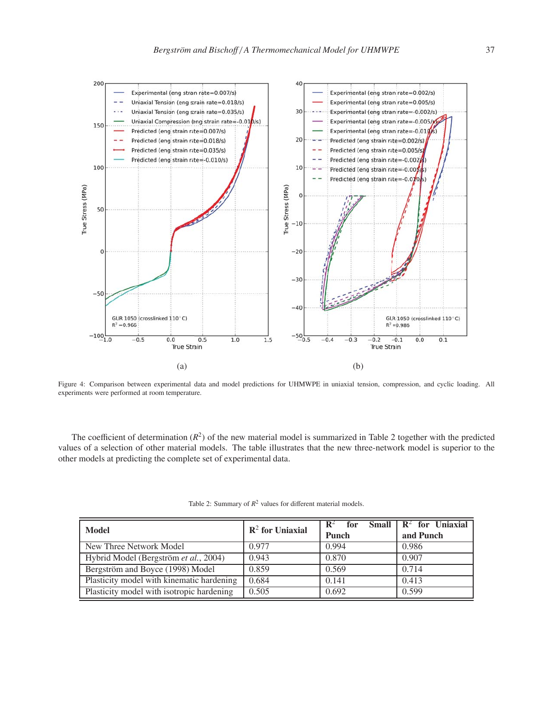

Figure 4: Comparison between experimental data and model predictions for UHMWPE in uniaxial tension, compression, and cyclic loading. All experiments were performed at room temperature.

The coefficient of determination  $(R^2)$  of the new material model is summarized in Table 2 together with the predicted values of a selection of other material models. The table illustrates that the new three-network model is superior to the other models at predicting the complete set of experimental data.

| <b>Model</b>                              | $\mathbb{R}^2$ for Uniaxial | $\mathbb{R}^2$<br>for<br><b>Punch</b> | Small $\mid R^2$ for Uniaxial<br>and Punch |
|-------------------------------------------|-----------------------------|---------------------------------------|--------------------------------------------|
| New Three Network Model                   | 0.977                       | 0.994                                 | 0.986                                      |
| Hybrid Model (Bergström et al., 2004)     | 0.943                       | 0.870                                 | 0.907                                      |
| Bergström and Boyce (1998) Model          | 0.859                       | 0.569                                 | 0.714                                      |
| Plasticity model with kinematic hardening | 0.684                       | 0.141                                 | 0.413                                      |
| Plasticity model with isotropic hardening | 0.505                       | 0.692                                 | 0.599                                      |

| Table 2: Summary of $R^2$ values for different material models. |  |  |
|-----------------------------------------------------------------|--|--|
|-----------------------------------------------------------------|--|--|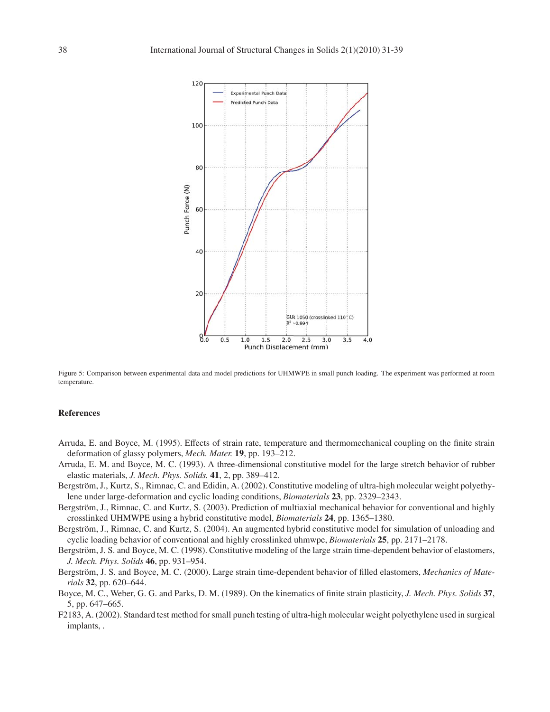

Figure 5: Comparison between experimental data and model predictions for UHMWPE in small punch loading. The experiment was performed at room temperature.

## **References**

- Arruda, E. and Boyce, M. (1995). Effects of strain rate, temperature and thermomechanical coupling on the finite strain deformation of glassy polymers, *Mech. Mater.* **19**, pp. 193–212.
- Arruda, E. M. and Boyce, M. C. (1993). A three-dimensional constitutive model for the large stretch behavior of rubber elastic materials, *J. Mech. Phys. Solids.* **41**, 2, pp. 389–412.
- Bergström, J., Kurtz, S., Rimnac, C. and Edidin, A. (2002). Constitutive modeling of ultra-high molecular weight polyethylene under large-deformation and cyclic loading conditions, *Biomaterials* **23**, pp. 2329–2343.
- Bergström, J., Rimnac, C. and Kurtz, S. (2003). Prediction of multiaxial mechanical behavior for conventional and highly crosslinked UHMWPE using a hybrid constitutive model, *Biomaterials* **24**, pp. 1365–1380.
- Bergström, J., Rimnac, C. and Kurtz, S. (2004). An augmented hybrid constitutive model for simulation of unloading and cyclic loading behavior of conventional and highly crosslinked uhmwpe, *Biomaterials* **25**, pp. 2171–2178.
- Bergström, J. S. and Boyce, M. C. (1998). Constitutive modeling of the large strain time-dependent behavior of elastomers, *J. Mech. Phys. Solids* **46**, pp. 931–954.
- Bergström, J. S. and Boyce, M. C. (2000). Large strain time-dependent behavior of filled elastomers, *Mechanics of Materials* **32**, pp. 620–644.
- Boyce, M. C., Weber, G. G. and Parks, D. M. (1989). On the kinematics of finite strain plasticity, *J. Mech. Phys. Solids* **37**, 5, pp. 647–665.
- F2183, A. (2002). Standard test method for small punch testing of ultra-high molecular weight polyethylene used in surgical implants, .